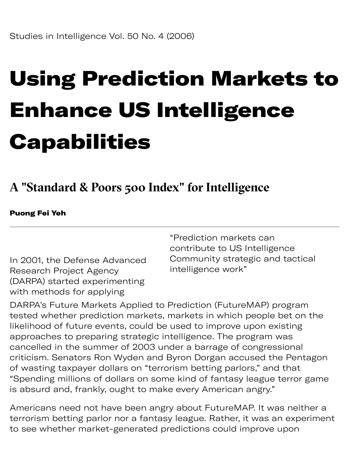# Using Prediction Markets to Enhance US Intelligence **Capabilities**

## **A "Standard & Poors 500 Index" for Intelligence**

#### Puong Fei Yeh

In 2001, the Defense Advanced Research Project Agency (DARPA) started experimenting with methods for applying

"Prediction markets can contribute to US Intelligence Community strategic and tactical intelligence work"

DARPA's Future Markets Applied to Prediction (FutureMAP) program tested whether prediction markets, markets in which people bet on the likelihood of future events, could be used to improve upon existing approaches to preparing strategic intelligence. The program was cancelled in the summer of 2003 under a barrage of congressional criticism. Senators Ron Wyden and Byron Dorgan accused the Pentagon of wasting taxpayer dollars on "terrorism betting parlors," and that "Spending millions of dollars on some kind of fantasy league terror game is absurd and, frankly, ought to make every American angry."

Americans need not have been angry about FutureMAP. It was neither a terrorism betting parlor nor a fantasy league. Rather, it was an experiment to see whether market-generated predictions could improve upon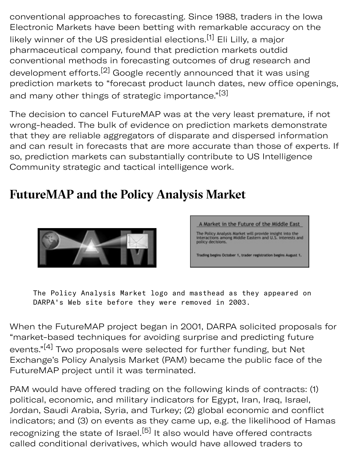conventional approaches to forecasting. Since 1988, traders in the Iowa Electronic Markets have been betting with remarkable accuracy on the likely winner of the US presidential elections.<sup>[1]</sup> Eli Lilly, a major pharmaceutical company, found that prediction markets outdid conventional methods in forecasting outcomes of drug research and development efforts.<sup>[2]</sup> Google recently announced that it was using prediction markets to "forecast product launch dates, new office openings, and many other things of strategic importance."<sup>[3]</sup>

 $\mathcal{G}$  denote up to be up to be up to be up to be up to be up to be up to be up to be up to be up to be up to be up to be up to be up to be up to be up to be up to be up to be up to be up to be up to be up to be up to b

The decision to cancel FutureMAP was at the very least premature, if not wrong-headed. The bulk of evidence on prediction markets demonstrate that they are reliable aggregators of disparate and dispersed information and can result in forecasts that are more accurate than those of experts. If so, prediction markets can substantially contribute to US Intelligence Community strategic and tactical intelligence work.

## **FutureMAP and the Policy Analysis Market**





The Policy Analysis Market logo and masthead as they appeared on DARPA's Web site before they were removed in 2003.

When the FutureMAP project began in 2001, DARPA solicited proposals for "market-based techniques for avoiding surprise and predicting future events."<sup>[4]</sup> Two proposals were selected for further funding, but Net Exchange's Policy Analysis Market (PAM) became the public face of the FutureMAP project until it was terminated.

PAM would have offered trading on the following kinds of contracts: (1) political, economic, and military indicators for Egypt, Iran, Iraq, Israel, Jordan, Saudi Arabia, Syria, and Turkey; (2) global economic and conflict indicators; and (3) on events as they came up, e.g. the likelihood of Hamas recognizing the state of Israel.<sup>[5]</sup> It also would have offered contracts called conditional derivatives, which would have allowed traders to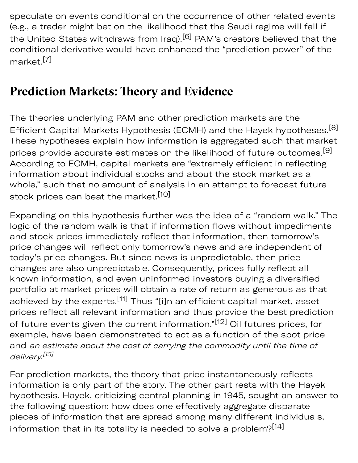speculate on events conditional on the occurrence of other related events (e.g., a trader might bet on the likelihood that the Saudi regime will fall if the United States withdraws from Iraq).<sup>[6]</sup> PAM's creators believed that the conditional derivative would have enhanced the "prediction power" of the market.[7]

## **Prediction Markets: Theory and Evidence**

The theories underlying PAM and other prediction markets are the Efficient Capital Markets Hypothesis (ECMH) and the Hayek hypotheses.<sup>[8]</sup> These hypotheses explain how information is aggregated such that market prices provide accurate estimates on the likelihood of future outcomes.<sup>[9]</sup> According to ECMH, capital markets are "extremely efficient in reflecting information about individual stocks and about the stock market as a whole," such that no amount of analysis in an attempt to forecast future stock prices can beat the market.<sup>[10]</sup>

Expanding on this hypothesis further was the idea of a "random walk." The logic of the random walk is that if information flows without impediments and stock prices immediately reflect that information, then tomorrow's price changes will reflect only tomorrow's news and are independent of today's price changes. But since news is unpredictable, then price changes are also unpredictable. Consequently, prices fully reflect all known information, and even uninformed investors buying a diversified portfolio at market prices will obtain a rate of return as generous as that achieved by the experts.<sup>[11]</sup> Thus "[i]n an efficient capital market, asset prices reflect all relevant information and thus provide the best prediction of future events given the current information."<sup>[12]</sup> Oil futures prices, for example, have been demonstrated to act as a function of the spot price and an estimate about the cost of carrying the commodity until the time of delivery.<sup>[13]</sup>

For prediction markets, the theory that price instantaneously reflects information is only part of the story. The other part rests with the Hayek hypothesis. Hayek, criticizing central planning in 1945, sought an answer to the following question: how does one effectively aggregate disparate pieces of information that are spread among many different individuals, information that in its totality is needed to solve a problem?<sup>[14]</sup>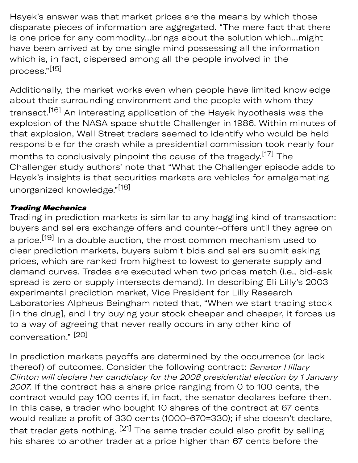Hayek's answer was that market prices are the means by which those disparate pieces of information are aggregated. "The mere fact that there is one price for any commodity…brings about the solution which…might have been arrived at by one single mind possessing all the information which is, in fact, dispersed among all the people involved in the process."[15]

Additionally, the market works even when people have limited knowledge about their surrounding environment and the people with whom they transact.[16] An interesting application of the Hayek hypothesis was the explosion of the NASA space shuttle Challenger in 1986. Within minutes of that explosion, Wall Street traders seemed to identify who would be held responsible for the crash while a presidential commission took nearly four months to conclusively pinpoint the cause of the tragedy.[17] The Challenger study authors' note that "What the Challenger episode adds to Hayek's insights is that securities markets are vehicles for amalgamating unorganized knowledge."[18]

#### Trading Mechanics

Trading in prediction markets is similar to any haggling kind of transaction: buyers and sellers exchange offers and counter-offers until they agree on a price.<sup>[19]</sup> In a double auction, the most common mechanism used to clear prediction markets, buyers submit bids and sellers submit asking prices, which are ranked from highest to lowest to generate supply and demand curves. Trades are executed when two prices match (i.e., bid-ask spread is zero or supply intersects demand). In describing Eli Lilly's 2003 experimental prediction market, Vice President for Lilly Research Laboratories Alpheus Beingham noted that, "When we start trading stock [in the drug], and I try buying your stock cheaper and cheaper, it forces us to a way of agreeing that never really occurs in any other kind of conversation." [20]

In prediction markets payoffs are determined by the occurrence (or lack thereof) of outcomes. Consider the following contract: Senator Hillary Clinton will declare her candidacy for the 2008 presidential election by 1 January 2007. If the contract has a share price ranging from 0 to 100 cents, the contract would pay 100 cents if, in fact, the senator declares before then. In this case, a trader who bought 10 shares of the contract at 67 cents would realize a profit of 330 cents (1000-670=330); if she doesn't declare, that trader gets nothing. <sup>[21]</sup> The same trader could also profit by selling his shares to another trader at a price higher than 67 cents before the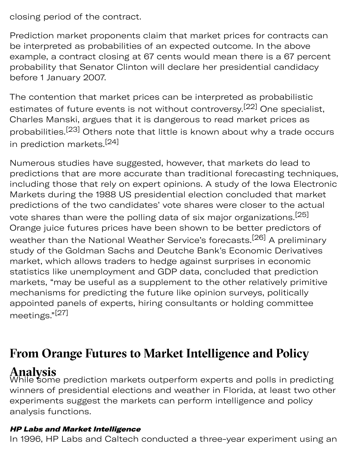closing period of the contract.

Prediction market proponents claim that market prices for contracts can be interpreted as probabilities of an expected outcome. In the above example, a contract closing at 67 cents would mean there is a 67 percent probability that Senator Clinton will declare her presidential candidacy before 1 January 2007.

price high

The contention that market prices can be interpreted as probabilistic estimates of future events is not without controversy.<sup>[22]</sup> One specialist, Charles Manski, argues that it is dangerous to read market prices as probabilities.[23] Others note that little is known about why a trade occurs in prediction markets.<sup>[24]</sup>

Numerous studies have suggested, however, that markets do lead to predictions that are more accurate than traditional forecasting techniques, including those that rely on expert opinions. A study of the Iowa Electronic Markets during the 1988 US presidential election concluded that market predictions of the two candidates' vote shares were closer to the actual vote shares than were the polling data of six major organizations.<sup>[25]</sup> Orange juice futures prices have been shown to be better predictors of weather than the National Weather Service's forecasts.<sup>[26]</sup> A preliminary study of the Goldman Sachs and Deutche Bank's Economic Derivatives market, which allows traders to hedge against surprises in economic statistics like unemployment and GDP data, concluded that prediction markets, "may be useful as a supplement to the other relatively primitive mechanisms for predicting the future like opinion surveys, politically appointed panels of experts, hiring consultants or holding committee meetings."[27]

## **From Orange Futures to Market Intelligence and Policy**

## **Analysis**

While some prediction markets outperform experts and polls in predicting winners of presidential elections and weather in Florida, at least two other experiments suggest the markets can perform intelligence and policy analysis functions.

### HP Labs and Market Intelligence

In 1996, HP Labs and Caltech conducted a three-year experiment using an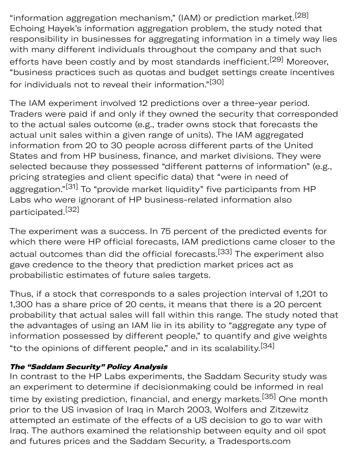"information aggregation mechanism," (IAM) or prediction market.  $^{[28]}$ Echoing Hayek's information aggregation problem, the study noted that responsibility in businesses for aggregating information in a timely way lies with many different individuals throughout the company and that such efforts have been costly and by most standards inefficient.<sup>[29]</sup> Moreover, "business practices such as quotas and budget settings create incentives for individuals not to reveal their information."<sup>[30]</sup>

The IAM experiment involved 12 predictions over a three-year period. Traders were paid if and only if they owned the security that corresponded to the actual sales outcome (e.g., trader owns stock that forecasts the actual unit sales within a given range of units). The IAM aggregated information from 20 to 30 people across different parts of the United States and from HP business, finance, and market divisions. They were selected because they possessed "different patterns of information" (e.g., pricing strategies and client specific data) that "were in need of aggregation."<sup>[31]</sup> To "provide market liquidity" five participants from HP Labs who were ignorant of HP business-related information also participated.[32]

The experiment was a success. In 75 percent of the predicted events for which there were HP official forecasts, IAM predictions came closer to the actual outcomes than did the official forecasts.<sup>[33]</sup> The experiment also gave credence to the theory that prediction market prices act as probabilistic estimates of future sales targets.

Thus, if a stock that corresponds to a sales projection interval of 1,201 to 1,300 has a share price of 20 cents, it means that there is a 20 percent probability that actual sales will fall within this range. The study noted that the advantages of using an IAM lie in its ability to "aggregate any type of information possessed by different people," to quantify and give weights "to the opinions of different people," and in its scalability.<sup>[34]</sup>

### The "Saddam Security" Policy Analysis

In contrast to the HP Labs experiments, the Saddam Security study was an experiment to determine if decisionmaking could be informed in real time by existing prediction, financial, and energy markets.<sup>[35]</sup> One month prior to the US invasion of Iraq in March 2003, Wolfers and Zitzewitz attempted an estimate of the effects of a US decision to go to war with Iraq. The authors examined the relationship between equity and oil spot and futures prices and the Saddam Security, a [Tradesports.com](https://Tradesports.com)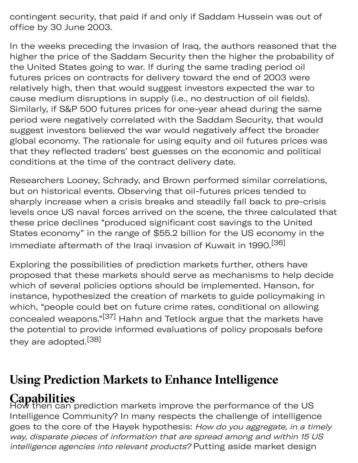contingent security, that paid if and only if Saddam Hussein was out of office by 30 June 2003.

s pric y sp

In the weeks preceding the invasion of Iraq, the authors reasoned that the higher the price of the Saddam Security then the higher the probability of the United States going to war. If during the same trading period oil futures prices on contracts for delivery toward the end of 2003 were relatively high, then that would suggest investors expected the war to cause medium disruptions in supply (i.e., no destruction of oil fields). Similarly, if S&P 500 futures prices for one-year ahead during the same period were negatively correlated with the Saddam Security, that would sugest investors believed the war would negatively affect the broader global economy. The rationale for using equity and oil futures prices was that they reflected traders' best guesses on the economic and political conditions at the time of the contract delivery date.

Researchers Looney, Schrady, and Brown performed similar correlations, but on historical events. Observing that oil-futures prices tended to sharply increase when a crisis breaks and steadily fall back to pre-crisis levels once US naval forces arrived on the scene, the three calculated that these price declines "produced significant cost savings to the United States economy" in the range of \$55.2 billion for the US economy in the immediate aftermath of the Iraqi invasion of Kuwait in 1990.<sup>[36]</sup>

Exploring the possibilities of prediction markets further, others have proposed that these markets should serve as mechanisms to help decide which of several policies options should be implemented. Hanson, for instance, hypothesized the creation of markets to guide policymaking in which, "people could bet on future crime rates, conditional on allowing concealed weapons."[37] Hahn and Tetlock argue that the markets have the potential to provide informed evaluations of policy proposals before they are adopted.<sup>[38]</sup>

## **Using Prediction Markets to Enhance Intelligence**

**Capabilities**<br>How then can prediction markets improve the performance of the US Intelligence Community? In many respects the challenge of intelligence goes to the core of the Hayek hypothesis: How do you aggregate, in a timely way, disparate pieces of information that are spread among and within 15 US intelligence agencies into relevant products? Putting aside market design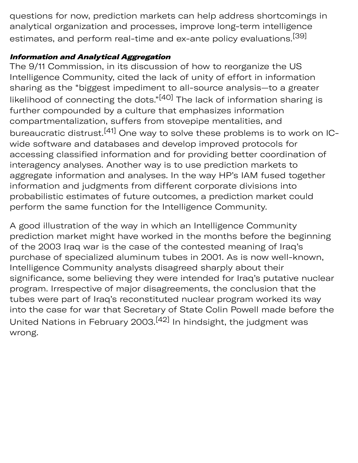questions for now, prediction markets can help address shortcomings in analytical organization and processes, improve long-term intelligence estimates, and perform real-time and ex-ante policy evaluations.<sup>[39]</sup>

#### **Information and Analytical Aggregation**

The 9/11 Commission, in its discussion of how to reorganize the US Intelligence Community, cited the lack of unity of effort in information sharing as the "biggest impediment to all-source analysis-to a greater likelihood of connecting the dots."<sup>[40]</sup> The lack of information sharing is further compounded by a culture that emphasizes information compartmentalization, suffers from stovepipe mentalities, and bureaucratic distrust.<sup>[41]</sup> One way to solve these problems is to work on ICwide software and databases and develop improved protocols for accessing classified information and for providing better coordination of interagency analyses. Another way is to use prediction markets to aggregate information and analyses. In the way HP's IAM fused together information and judgments from different corporate divisions into probabilistic estimates of future outcomes, a prediction market could perform the same function for the Intelligence Community.

A good illustration of the way in which an Intelligence Community prediction market might have worked in the months before the beginning of the 2003 Iraq war is the case of the contested meaning of Iraq's purchase of specialized aluminum tubes in 2001. As is now well-known, Intelligence Community analysts disagreed sharply about their significance, some believing they were intended for Iraq's putative nuclear program. Irrespective of major disagreements, the conclusion that the tubes were part of Iraq's reconstituted nuclear program worked its way into the case for war that Secretary of State Colin Powell made before the United Nations in February 2003.[42] In hindsight, the judgment was wrong.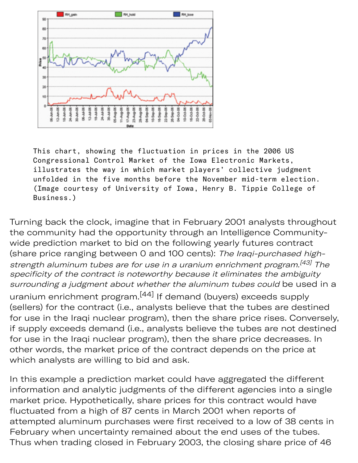

This chart, showing the fluctuation in prices in the 2006 US Congressional Control Market of the Iowa Electronic Markets, illustrates the way in which market players' collective judgment unfolded in the five months before the November mid-term election. (Image courtesy of University of Iowa, Henry B. Tippie College of Business.)

Turning back the clock, imagine that in February 2001 analysts throughout the community had the opportunity through an Intelligence Communitywide prediction market to bid on the following yearly futures contract (share price ranging between 0 and 100 cents): The Iraqi-purchased highstrength aluminum tubes are for use in a uranium enrichment program.<sup>[43]</sup> The specificity of the contract is noteworthy because it eliminates the ambiguity surrounding a judgment about whether the aluminum tubes could be used in a

uranium enrichment program.[44] If demand (buyers) exceeds supply (sellers) for the contract (i.e., analysts believe that the tubes are destined for use in the Iraqi nuclear program), then the share price rises. Conversely, if supply exceeds demand (i.e., analysts believe the tubes are not destined for use in the Iraqi nuclear program), then the share price decreases. In other words, the market price of the contract depends on the price at which analysts are willing to bid and ask.

In this example a prediction market could have aggregated the different information and analytic judgments of the different agencies into a single market price. Hypothetically, share prices for this contract would have fluctuated from a high of 87 cents in March 2001 when reports of attempted aluminum purchases were first received to a low of 38 cents in February when uncertainty remained about the end uses of the tubes. Thus when trading closed in February 2003, the closing share price of 46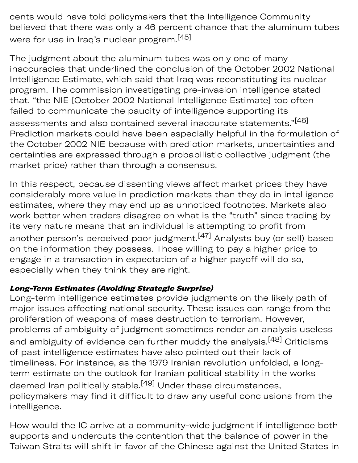cents would have told policymakers that the Intelligence Community believed that there was only a 46 percent chance that the aluminum tubes were for use in Iraq's nuclear program.<sup>[45]</sup>

ding clo y 2 sing sha e pric

The judgment about the aluminum tubes was only one of many inaccuracies that underlined the conclusion of the October 2002 National Intelligence Estimate, which said that Iraq was reconstituting its nuclear program. The commission investigating pre-invasion intelligence stated that, "the NIE [October 2002 National Intelligence Estimate] too often failed to communicate the paucity of intelligence supporting its assessments and also contained several inaccurate statements."[46] Prediction markets could have been especially helpful in the formulation of the October 2002 NIE because with prediction markets, uncertainties and certainties are expressed through a probabilistic collective judgment (the market price) rather than through a consensus.

In this respect, because dissenting views affect market prices they have considerably more value in prediction markets than they do in intelligence estimates, where they may end up as unnoticed footnotes. Markets also work better when traders disagree on what is the "truth" since trading by its very nature means that an individual is attempting to profit from another person's perceived poor judgment.<sup>[47]</sup> Analysts buy (or sell) based on the information they possess. Those willing to pay a higher price to engage in a transaction in expectation of a higher payoff will do so, especially when they think they are right.

### Long-Term Estimates (Avoiding Strategic Surprise)

Long-term intelligence estimates provide judgments on the likely path of major issues affecting national security. These issues can range from the proliferation of weapons of mass destruction to terrorism. However, problems of ambiguity of judgment sometimes render an analysis useless and ambiguity of evidence can further muddy the analysis.<sup>[48]</sup> Criticisms of past intelligence estimates have also pointed out their lack of timeliness. For instance, as the 1979 Iranian revolution unfolded, a longterm estimate on the outlook for Iranian political stability in the works deemed Iran politically stable.<sup>[49]</sup> Under these circumstances, policymakers may find it difficult to draw any useful conclusions from the intelligence.

How would the IC arrive at a community-wide judgment if intelligence both supports and undercuts the contention that the balance of power in the Taiwan Straits will shift in favor of the Chinese against the United States in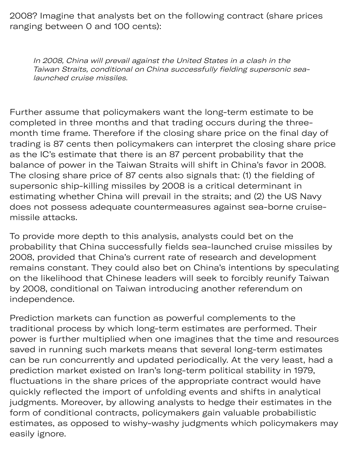2008? Imagine that analysts bet on the following contract (share prices ranging between 0 and 100 cents):

In 2008, China will prevail against the United States in a clash in the Taiwan Straits, conditional on China successfully fielding supersonic sealaunched cruise missiles.

Further assume that policymakers want the long-term estimate to be completed in three months and that trading occurs during the threemonth time frame. Therefore if the closing share price on the final day of trading is 87 cents then policymakers can interpret the closing share price as the IC's estimate that there is an 87 percent probability that the balance of power in the Taiwan Straits will shift in China's favor in 2008. The closing share price of 87 cents also signals that: (1) the fielding of supersonic ship-killing missiles by 2008 is a critical determinant in estimating whether China will prevail in the straits; and (2) the US Navy does not possess adequate countermeasures against sea-borne cruisemissile attacks.

To provide more depth to this analysis, analysts could bet on the probability that China successfully fields sea-launched cruise missiles by 2008, provided that China's current rate of research and development remains constant. They could also bet on China's intentions by speculating on the likelihood that Chinese leaders will seek to forcibly reunify Taiwan by 2008, conditional on Taiwan introducing another referendum on independence.

Prediction markets can function as powerful complements to the traditional process by which long-term estimates are performed. Their power is further multiplied when one imagines that the time and resources saved in running such markets means that several long-term estimates can be run concurrently and updated periodically. At the very least, had a prediction market existed on Iran's long-term political stability in 1979, fluctuations in the share prices of the appropriate contract would have quickly reflected the import of unfolding events and shifts in analytical judgments. Moreover, by allowing analysts to hedge their estimates in the form of conditional contracts, policymakers gain valuable probabilistic estimates, as opposed to wishy-washy judgments which policymakers may easily ignore.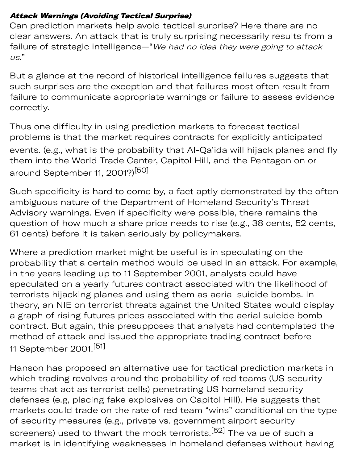#### Attack Warnings (Avoiding Tactical Surprise)

Can prediction markets help avoid tactical surprise? Here there are no clear answers. An attack that is truly surprising necessarily results from a failure of strategic intelligence—"We had no idea they were going to attack us."

But a glance at the record of historical intelligence failures suggests that such surprises are the exception and that failures most often result from failure to communicate appropriate warnings or failure to assess evidence correctly.

Thus one difficulty in using prediction markets to forecast tactical problems is that the market requires contracts for explicitly anticipated events. (e.g., what is the probability that Al-Qa'ida will hijack planes and fly them into the World Trade Center, Capitol Hill, and the Pentagon on or around September 11, 2001?)<sup>[50]</sup>

Such specificity is hard to come by, a fact aptly demonstrated by the often ambiguous nature of the Department of Homeland Security's Threat Advisory warnings. Even if specificity were possible, there remains the question of how much a share price needs to rise (e.g., 38 cents, 52 cents, 61 cents) before it is taken seriously by policymakers.

Where a prediction market might be useful is in speculating on the probability that a certain method would be used in an attack. For example, in the years leading up to 11 September 2001, analysts could have speculated on a yearly futures contract associated with the likelihood of terrorists hijacking planes and using them as aerial suicide bombs. In theory, an NIE on terrorist threats against the United States would display a graph of rising futures prices associated with the aerial suicide bomb contract. But again, this presupposes that analysts had contemplated the method of attack and issued the appropriate trading contract before 11 September 2001.[51]

Hanson has proposed an alternative use for tactical prediction markets in which trading revolves around the probability of red teams (US security teams that act as terrorist cells) penetrating US homeland security defenses (e.g, placing fake explosives on Capitol Hill). He suggests that markets could trade on the rate of red team "wins" conditional on the type of security measures (e.g., private vs. government airport security screeners) used to thwart the mock terrorists.<sup>[52]</sup> The value of such a market is in identifying weaknesses in homeland defenses without having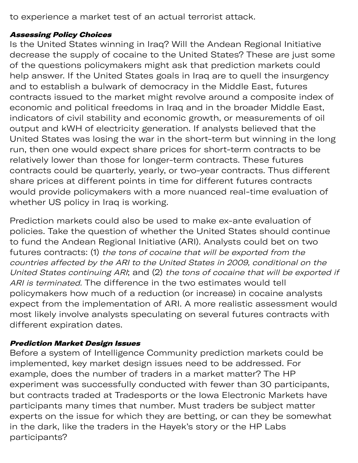to experience a market test of an actual terrorist attack.

#### Assessing Policy Choices

Is the United States winning in Iraq? Will the Andean Regional Initiative decrease the supply of cocaine to the United States? These are just some of the questions policymakers might ask that prediction markets could help answer. If the United States goals in Iraq are to quell the insurgency and to establish a bulwark of democracy in the Middle East, futures contracts issued to the market might revolve around a composite index of economic and political freedoms in Iraq and in the broader Middle East, indicators of civil stability and economic growth, or measurements of oil output and kWH of electricity generation. If analysts believed that the United States was losing the war in the short-term but winning in the long run, then one would expect share prices for short-term contracts to be relatively lower than those for longer-term contracts. These futures contracts could be quarterly, yearly, or two-year contracts. Thus different share prices at different points in time for different futures contracts would provide policymakers with a more nuanced real-time evaluation of whether US policy in Iraq is working.

ying w ving

Prediction markets could also be used to make ex-ante evaluation of policies. Take the question of whether the United States should continue to fund the Andean Regional Initiative (ARI). Analysts could bet on two futures contracts: (1) the tons of cocaine that will be exported from the countries affected by the ARI to the United States in 2009, conditional on the United States continuing ARI; and (2) the tons of cocaine that will be exported if ARI is terminated. The difference in the two estimates would tell policymakers how much of a reduction (or increase) in cocaine analysts expect from the implementation of ARI. A more realistic assessment would most likely involve analysts speculating on several futures contracts with different expiration dates.

#### Prediction Market Design Issues

Before a system of Intelligence Community prediction markets could be implemented, key market design issues need to be addressed. For example, does the number of traders in a market matter? The HP experiment was successfully conducted with fewer than 30 participants, but contracts traded at Tradesports or the Iowa Electronic Markets have participants many times that number. Must traders be subject matter experts on the issue for which they are betting, or can they be somewhat in the dark, like the traders in the Hayek's story or the HP Labs participants?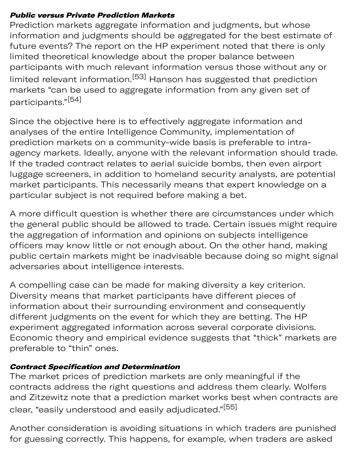#### Public versus Private Prediction Markets

Prediction markets aggregate information and judgments, but whose information and judgments should be aggregated for the best estimate of future events? The report on the HP experiment noted that there is only limited theoretical knowledge about the proper balance between participants with much relevant information versus those without any or limited relevant information.<sup>[53]</sup> Hanson has suggested that prediction markets "can be used to aggregate information from any given set of participants."[54]

Since the objective here is to effectively aggregate information and analyses of the entire Intelligence Community, implementation of prediction markets on a community-wide basis is preferable to intraagency markets. Ideally, anyone with the relevant information should trade. If the traded contract relates to aerial suicide bombs, then even airport lugage screeners, in addition to homeland security analysts, are potential market participants. This necessarily means that expert knowledge on a particular subject is not required before making a bet.

A more difficult question is whether there are circumstances under which the general public should be allowed to trade. Certain issues might require the aggregation of information and opinions on subjects intelligence officers may know little or not enough about. On the other hand, making public certain markets might be inadvisable because doing so might signal adversaries about intelligence interests.

A compelling case can be made for making diversity a key criterion. Diversity means that market participants have different pieces of information about their surrounding environment and consequently different judgments on the event for which they are betting. The HP experiment aggregated information across several corporate divisions. Economic theory and empirical evidence suggests that "thick" markets are preferable to "thin" ones.

### Contract Specification and Determination

The market prices of prediction markets are only meaningful if the contracts address the right questions and address them clearly. Wolfers and Zitzewitz note that a prediction market works best when contracts are clear, "easily understood and easily adjudicated."<sup>[55]</sup>

Another consideration is avoiding situations in which traders are punished for guessing correctly. This happens, for example, when traders are asked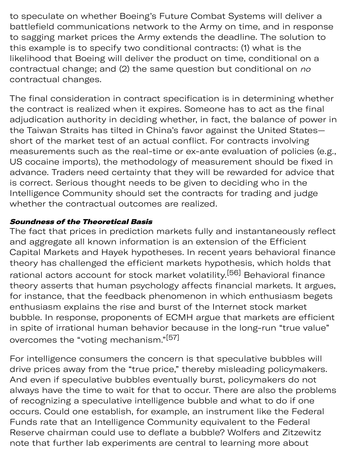to speculate on whether Boeing's Future Combat Systems will deliver a battlefield communications network to the Army on time, and in response to sagging market prices the Army extends the deadline. The solution to this example is to specify two conditional contracts: (1) what is the likelihood that Boeing will deliver the product on time, conditional on a contractual change; and (2) the same question but conditional on no contractual changes.

The final consideration in contract specification is in determining whether the contract is realized when it expires. Someone has to act as the final adjudication authority in deciding whether, in fact, the balance of power in the Taiwan Straits has tilted in China's favor against the United States short of the market test of an actual conflict. For contracts involving measurements such as the real-time or ex-ante evaluation of policies (e.g., US cocaine imports), the methodology of measurement should be fixed in advance. Traders need certainty that they will be rewarded for advice that is correct. Serious thought needs to be given to deciding who in the Intelligence Community should set the contracts for trading and judge whether the contractual outcomes are realized.

#### Soundness of the Theoretical Basis

The fact that prices in prediction markets fully and instantaneously reflect and aggregate all known information is an extension of the Efficient Capital Markets and Hayek hypotheses. In recent years behavioral finance theory has challenged the efficient markets hypothesis, which holds that rational actors account for stock market volatility.<sup>[56]</sup> Behavioral finance theory asserts that human psychology affects financial markets. It argues, for instance, that the feedback phenomenon in which enthusiasm begets enthusiasm explains the rise and burst of the Internet stock market bubble. In response, proponents of ECMH argue that markets are efficient in spite of irrational human behavior because in the long-run "true value" overcomes the "voting mechanism."[57]

For intelligence consumers the concern is that speculative bubbles will drive prices away from the "true price," thereby misleading policymakers. And even if speculative bubbles eventually burst, policymakers do not always have the time to wait for that to occur. There are also the problems of recognizing a speculative intelligence bubble and what to do if one occurs. Could one establish, for example, an instrument like the Federal Funds rate that an Intelligence Community equivalent to the Federal Reserve chairman could use to deflate a bubble? Wolfers and Zitzewitz note that further lab experiments are central to learning more about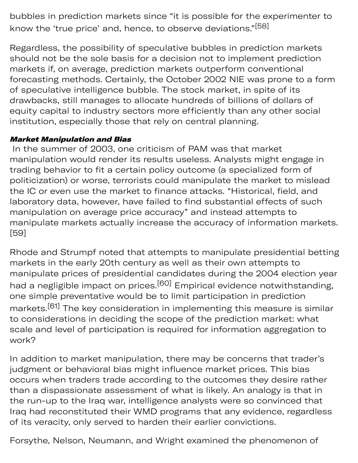bubbles in prediction markets since "it is possible for the experimenter to know the 'true price' and, hence, to observe deviations."<sup>[58]</sup>

Regardless, the possibility of speculative bubbles in prediction markets should not be the sole basis for a decision not to implement prediction markets if, on average, prediction markets outperform conventional forecasting methods. Certainly, the October 2002 NIE was prone to a form of speculative intelligence bubble. The stock market, in spite of its drawbacks, still manages to allocate hundreds of billions of dollars of equity capital to industry sectors more efficiently than any other social institution, especially those that rely on central planning.

#### Market Manipulation and Bias

 In the summer of 2003, one criticism of PAM was that market manipulation would render its results useless. Analysts might engage in trading behavior to fit a certain policy outcome (a specialized form of politicization) or worse, terrorists could manipulate the market to mislead the IC or even use the market to finance attacks. "Historical, field, and laboratory data, however, have failed to find substantial effects of such manipulation on average price accuracy" and instead attempts to manipulate markets actually increase the accuracy of information markets. [59]

Rhode and Strumpf noted that attempts to manipulate presidential betting markets in the early 20th century as well as their own attempts to manipulate prices of presidential candidates during the 2004 election year had a negligible impact on prices.<sup>[60]</sup> Empirical evidence notwithstanding, one simple preventative would be to limit participation in prediction markets.[61] The key consideration in implementing this measure is similar to considerations in deciding the scope of the prediction market: what scale and level of participation is required for information aggregation to work?

In addition to market manipulation, there may be concerns that trader's judgment or behavioral bias might influence market prices. This bias occurs when traders trade according to the outcomes they desire rather than a dispassionate assessment of what is likely. An analogy is that in the run-up to the Iraq war, intelligence analysts were so convinced that Iraq had reconstituted their WMD programs that any evidence, regardless of its veracity, only served to harden their earlier convictions.

Forsythe, Nelson, Neumann, and Wright examined the phenomenon of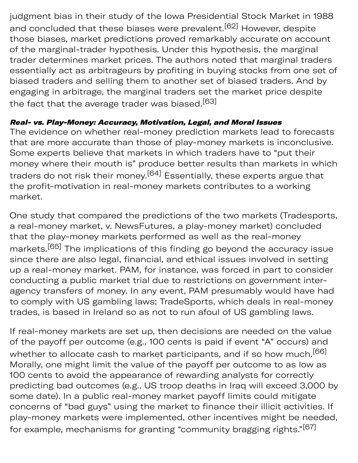judgment bias in their study of the Iowa Presidential Stock Market in 1988 and concluded that these biases were prevalent.<sup>[62]</sup> However, despite those biases, market predictions proved remarkably accurate on account of the marginal-trader hypothesis. Under this hypothesis, the marginal trader determines market prices. The authors noted that marginal traders essentially act as arbitrageurs by profiting in buying stocks from one set of biased traders and selling them to another set of biased traders. And by engaging in arbitrage, the marginal traders set the market price despite the fact that the average trader was biased.<sup>[63]</sup>

#### Real- vs. Play-Money: Accuracy, Motivation, Legal, and Moral Issues

The evidence on whether real-money prediction markets lead to forecasts that are more accurate than those of play-money markets is inconclusive. Some experts believe that markets in which traders have to "put their money where their mouth is" produce better results than markets in which traders do not risk their money.<sup>[64]</sup> Essentially, these experts argue that the profit-motivation in real-money markets contributes to a working market.

One study that compared the predictions of the two markets (Tradesports, a real-money market, v. NewsFutures, a play-money market) concluded that the play-money markets performed as well as the real-money markets.[65] The implications of this finding go beyond the accuracy issue since there are also legal, financial, and ethical issues involved in setting up a real-money market. PAM, for instance, was forced in part to consider conducting a public market trial due to restrictions on government interagency transfers of money. In any event, PAM presumably would have had to comply with US gambling laws; TradeSports, which deals in real-money trades, is based in Ireland so as not to run afoul of US gambling laws.

If real-money markets are set up, then decisions are needed on the value of the payoff per outcome (e.g., 100 cents is paid if event "A" occurs) and whether to allocate cash to market participants, and if so how much.<sup>[66]</sup> Morally, one might limit the value of the payoff per outcome to as low as 100 cents to avoid the appearance of rewarding analysts for correctly predicting bad outcomes (e.g., US troop deaths in Iraq will exceed 3,000 by some date). In a public real-money market payoff limits could mitigate concerns of "bad guys" using the market to finance their illicit activities. If play-money markets were implemented, other incentives might be needed, for example, mechanisms for granting "community bragging rights."[67]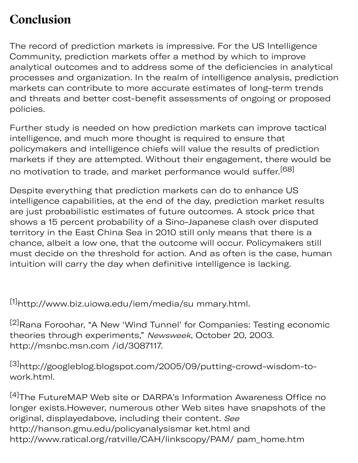## **Conclusion**

The record of prediction markets is impressive. For the US Intelligence Community, prediction markets offer a method by which to improve analytical outcomes and to address some of the deficiencies in analytical processes and organization. In the realm of intelligence analysis, prediction markets can contribute to more accurate estimates of long-term trends and threats and better cost-benefit assessments of ongoing or proposed policies.

Further study is needed on how prediction markets can improve tactical intelligence, and much more thought is required to ensure that policymakers and intelligence chiefs will value the results of prediction markets if they are attempted. Without their engagement, there would be no motivation to trade, and market performance would suffer.<sup>[68]</sup>

Despite everything that prediction markets can do to enhance US intelligence capabilities, at the end of the day, prediction market results are just probabilistic estimates of future outcomes. A stock price that shows a 15 percent probability of a Sino-Japanese clash over disputed territory in the East China Sea in 2010 still only means that there is a chance, albeit a low one, that the outcome will occur. Policymakers still must decide on the threshold for action. And as often is the case, human intuition will carry the day when definitive intelligence is lacking.

[1]http://www.biz.uiowa.edu/iem/media/su mmary.html.

[2]Rana Foroohar, "A New 'Wind Tunnel' for Companies: Testing economic theories through experiments," Newsweek, October 20, 2003. http://msnbc.msn.com /id/3087117.

[3]http://googleblog.blogspot.com/2005/09/putting-crowd-wisdom-towork.html.

[4]The FutureMAP Web site or DARPA's Information Awareness Office no longer exists.However, numerous other Web sites have snapshots of the original, displayedabove, including their content. See http://hanson.gmu.edu/policyanalysismar ket.html and http://www.ratical.org/ratville/CAH/linkscopy/PAM/ pam\_home.htm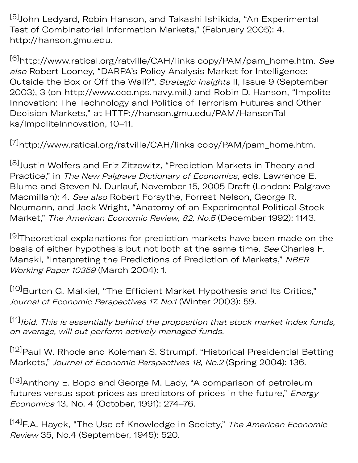[5] John Ledyard, Robin Hanson, and Takashi Ishikida, "An Experimental Test of Combinatorial Information Markets," (February 2005): 4. http://hanson.gmu.edu.

<sup>[6]</sup>http://www.ratical.org/ratville/CAH/links copy/PAM/pam\_home.htm. See also Robert Looney, "DARPA's Policy Analysis Market for Intelligence: Outside the Box or Off the Wall?", Strategic Insights II, Issue 9 (September 2003), 3 (on http://www.ccc.nps.navy.mil.) and Robin D. Hanson, "Impolite Innovation: The Technology and Politics of Terrorism Futures and Other Decision Markets," at HTTP://hanson.gmu.edu/PAM/HansonTal ks/ImpoliteInnovation, 10–11.

[7]http://www.ratical.org/ratville/CAH/links copy/PAM/pam\_home.htm.

[8] Justin Wolfers and Eriz Zitzewitz, "Prediction Markets in Theory and Practice," in The New Palgrave Dictionary of Economics, eds. Lawrence E. Blume and Steven N. Durlauf, November 15, 2005 Draft (London: Palgrave Macmillan): 4. See also Robert Forsythe, Forrest Nelson, George R. Neumann, and Jack Wright, "Anatomy of an Experimental Political Stock Market," The American Economic Review, 82, No.5 (December 1992): 1143.

[9] Theoretical explanations for prediction markets have been made on the basis of either hypothesis but not both at the same time. See Charles F. Manski, "Interpreting the Predictions of Prediction of Markets," NBER Working Paper 10359 (March 2004): 1.

[10] Burton G. Malkiel, "The Efficient Market Hypothesis and Its Critics," Journal of Economic Perspectives 17, No.1 (Winter 2003): 59.

[11] Ibid. This is essentially behind the proposition that stock market index funds, on average, will out perform actively managed funds.

[12] Paul W. Rhode and Koleman S. Strumpf, "Historical Presidential Betting Markets," Journal of Economic Perspectives 18, No.2 (Spring 2004): 136.

[13] Anthony E. Bopp and George M. Lady, "A comparison of petroleum futures versus spot prices as predictors of prices in the future," Energy Economics 13, No. 4 (October, 1991): 274–76.

[14] F.A. Hayek, "The Use of Knowledge in Society," The American Economic Review 35, No.4 (September, 1945): 520.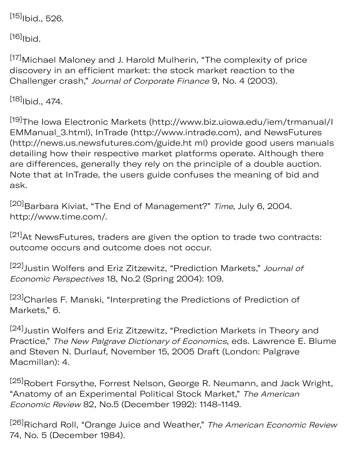$[15]$ Ibid., 526.

 $[16]$ Ibid.

[17] Michael Maloney and J. Harold Mulherin, "The complexity of price discovery in an efficient market: the stock market reaction to the Challenger crash," Journal of Corporate Finance 9, No. 4 (2003).

 $[18]$ <sub>Ibid</sub>., 474.

[19]The Iowa Electronic Markets (http://www.biz.uiowa.edu/iem/trmanual/I EMManual\_3.html), InTrade (http://www.intrade.com), and NewsFutures (http://news.us.newsfutures.com/guide.ht ml) provide good users manuals detailing how their respective market platforms operate. Although there are differences, generally they rely on the principle of a double auction. Note that at InTrade, the users guide confuses the meaning of bid and ask.

[20] Barbara Kiviat, "The End of Management?" Time, July 6, 2004. http://www.time.com/.

[21] At NewsFutures, traders are given the option to trade two contracts: outcome occurs and outcome does not occur.

[22] Justin Wolfers and Eriz Zitzewitz, "Prediction Markets," Journal of Economic Perspectives 18, No.2 (Spring 2004): 109.

[23] Charles F. Manski, "Interpreting the Predictions of Prediction of Markets," 6.

[24] Justin Wolfers and Eriz Zitzewitz, "Prediction Markets in Theory and Practice," The New Palgrave Dictionary of Economics, eds. Lawrence E. Blume and Steven N. Durlauf, November 15, 2005 Draft (London: Palgrave Macmillan): 4.

[25]Robert Forsythe, Forrest Nelson, George R. Neumann, and Jack Wright, "Anatomy of an Experimental Political Stock Market," The American Economic Review 82, No.5 (December 1992): 1148-1149.

<sup>[26]</sup>Richard Roll, "Orange Juice and Weather," The American Economic Review 74, No. 5 (December 1984).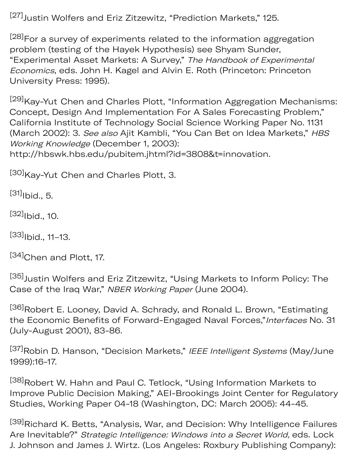[27] Justin Wolfers and Eriz Zitzewitz, "Prediction Markets," 125.

<sup>[28]</sup>For a survey of experiments related to the information aggregation problem (testing of the Hayek Hypothesis) see Shyam Sunder, "Experimental Asset Markets: A Survey," The Handbook of Experimental Economics, eds. John H. Kagel and Alvin E. Roth (Princeton: Princeton University Press: 1995).

[29] Kay-Yut Chen and Charles Plott, "Information Aggregation Mechanisms: Concept, Design And Implementation For A Sales Forecasting Problem," California Institute of Technology Social Science Working Paper No. 1131 (March 2002): 3. See also Ajit Kambli, "You Can Bet on Idea Markets," HBS Working Knowledge (December 1, 2003): http://hbswk.hbs.edu/pubitem.jhtml?id=3808&t=innovation.

[30] Kay-Yut Chen and Charles Plott, 3.

 $[31]$ <sub>Ibid.</sub>, 5.

 $[32]$ <sub>Ibid.</sub>, 10.

 $[33]$ <sub>Ibid.</sub>, 11–13.

[34]Chen and Plott, 17.

[35] Justin Wolfers and Eriz Zitzewitz, "Using Markets to Inform Policy: The Case of the Iraq War," NBER Working Paper (June 2004).

[36]Robert E. Looney, David A. Schrady, and Ronald L. Brown, "Estimating the Economic Benefits of Forward-Engaged Naval Forces,"Interfaces No. 31 (July-August 2001), 83-86.

[37]Robin D. Hanson, "Decision Markets," IEEE Intelligent Systems (May/June 1999):16-17.

[38] Robert W. Hahn and Paul C. Tetlock, "Using Information Markets to Improve Public Decision Making," AEI-Brookings Joint Center for Regulatory Studies, Working Paper 04-18 (Washington, DC: March 2005): 44-45.

[39] Richard K. Betts, "Analysis, War, and Decision: Why Intelligence Failures Are Inevitable?" Strategic Intelligence: Windows into a Secret World, eds. Lock J. Johnson and James J. Wirtz. (Los Angeles: Roxbury Publishing Company):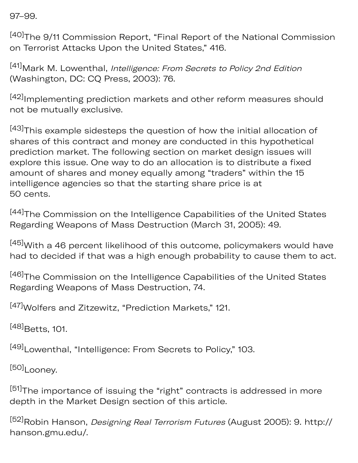97–99.

[40]The 9/11 Commission Report, "Final Report of the National Commission on Terrorist Attacks Upon the United States," 416.

[41] Mark M. Lowenthal, Intelligence: From Secrets to Policy 2nd Edition (Washington, DC: CQ Press, 2003): 76.

[42]<sub>Implementing prediction markets and other reform measures should</sub> not be mutually exclusive.

[43]This example sidesteps the question of how the initial allocation of shares of this contract and money are conducted in this hypothetical prediction market. The following section on market design issues will explore this issue. One way to do an allocation is to distribute a fixed amount of shares and money equally among "traders" within the 15 intelligence agencies so that the starting share price is at 50 cents.

[44]The Commission on the Intelligence Capabilities of the United States Regarding Weapons of Mass Destruction (March 31, 2005): 49.

[45] With a 46 percent likelihood of this outcome, policymakers would have had to decided if that was a high enough probability to cause them to act.

[46] The Commission on the Intelligence Capabilities of the United States Regarding Weapons of Mass Destruction, 74.

[47] Wolfers and Zitzewitz, "Prediction Markets," 121.

[48] Betts, 101.

[49]Lowenthal, "Intelligence: From Secrets to Policy," 103.

[50]Looney.

[51] The importance of issuing the "right" contracts is addressed in more depth in the Market Design section of this article.

[52]Robin Hanson, Designing Real Terrorism Futures (August 2005): 9. http:// hanson.gmu.edu/.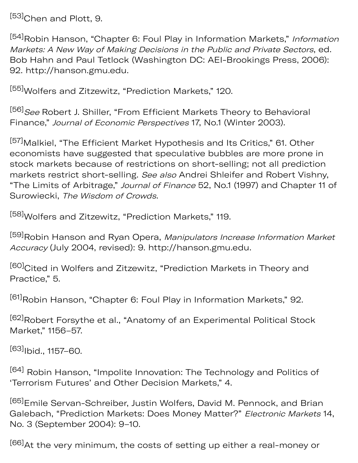[53] Chen and Plott, 9.

[54]Robin Hanson, "Chapter 6: Foul Play in Information Markets," Information Markets: A New Way of Making Decisions in the Public and Private Sectors, ed. Bob Hahn and Paul Tetlock (Washington DC: AEI-Brookings Press, 2006): 92. http://hanson.gmu.edu.

[55] Wolfers and Zitzewitz, "Prediction Markets," 120.

[56] See Robert J. Shiller, "From Efficient Markets Theory to Behavioral Finance," Journal of Economic Perspectives 17, No.1 (Winter 2003).

[57] Malkiel, "The Efficient Market Hypothesis and Its Critics," 61. Other economists have suggested that speculative bubbles are more prone in stock markets because of restrictions on short-selling; not all prediction markets restrict short-selling. See also Andrei Shleifer and Robert Vishny, "The Limits of Arbitrage," Journal of Finance 52, No.1 (1997) and Chapter 11 of Surowiecki, The Wisdom of Crowds.

[58] Wolfers and Zitzewitz, "Prediction Markets," 119.

[59] Robin Hanson and Ryan Opera, Manipulators Increase Information Market Accuracy (July 2004, revised): 9. http://hanson.gmu.edu.

[60] Cited in Wolfers and Zitzewitz, "Prediction Markets in Theory and Practice," 5.

[61]Robin Hanson, "Chapter 6: Foul Play in Information Markets," 92.

[62] Robert Forsythe et al., "Anatomy of an Experimental Political Stock Market," 1156–57.

 $[63]$ Ibid., 1157–60.

<sup>[64]</sup> Robin Hanson, "Impolite Innovation: The Technology and Politics of 'Terrorism Futures' and Other Decision Markets," 4.

[65]Emile Servan-Schreiber, Justin Wolfers, David M. Pennock, and Brian Galebach, "Prediction Markets: Does Money Matter?" Electronic Markets 14, No. 3 (September 2004): 9–10.

[66] At the very minimum, the costs of setting up either a real-money or